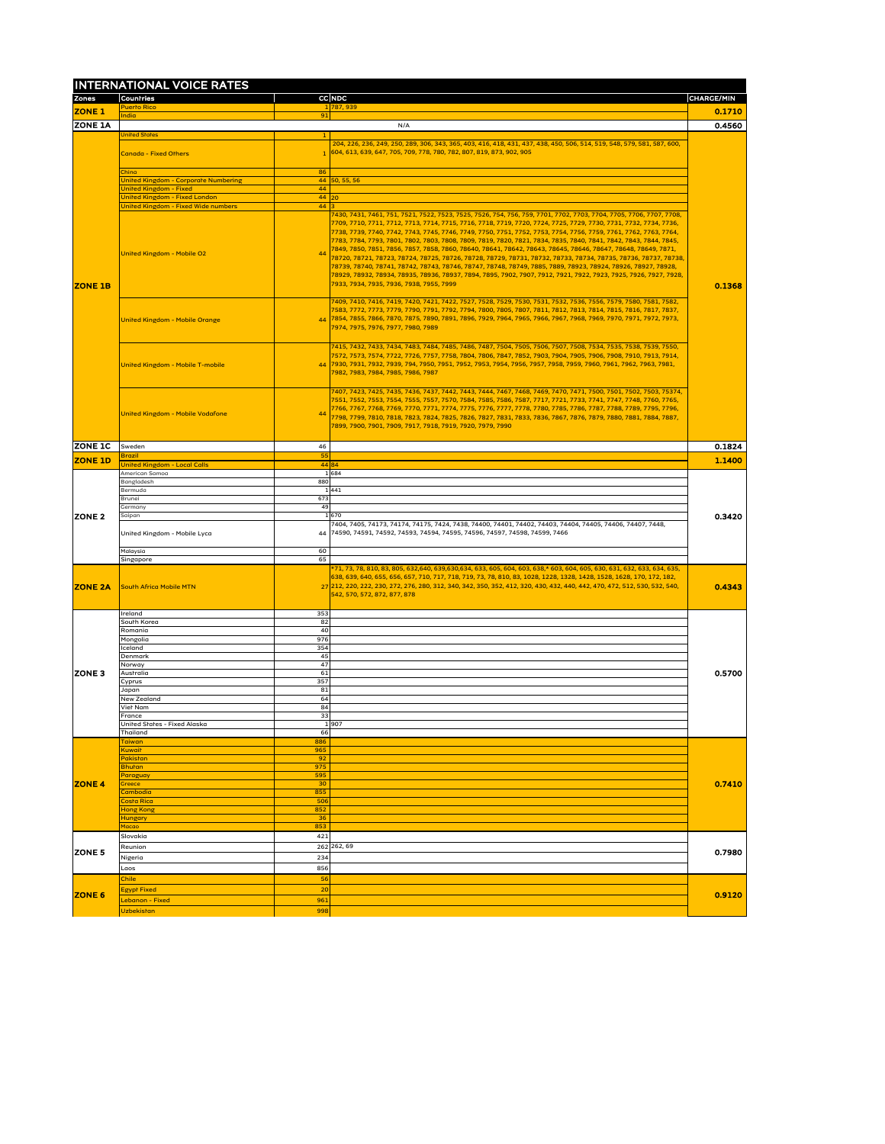|                | <b>INTERNATIONAL VOICE RATES</b>                                             |            |                                                                                                                                                                                                                                                                                                                                                                                                                                                                                                                                                                                                                                                                                                                                                                                                                                                                                                                                                                   |                   |
|----------------|------------------------------------------------------------------------------|------------|-------------------------------------------------------------------------------------------------------------------------------------------------------------------------------------------------------------------------------------------------------------------------------------------------------------------------------------------------------------------------------------------------------------------------------------------------------------------------------------------------------------------------------------------------------------------------------------------------------------------------------------------------------------------------------------------------------------------------------------------------------------------------------------------------------------------------------------------------------------------------------------------------------------------------------------------------------------------|-------------------|
| <b>Zones</b>   | <b>Countries</b><br><b>Puerto Rico</b>                                       |            | CC NDC<br>1 787,939                                                                                                                                                                                                                                                                                                                                                                                                                                                                                                                                                                                                                                                                                                                                                                                                                                                                                                                                               | <b>CHARGE/MIN</b> |
| <b>ZONE 1</b>  | <b>India</b>                                                                 | 91         |                                                                                                                                                                                                                                                                                                                                                                                                                                                                                                                                                                                                                                                                                                                                                                                                                                                                                                                                                                   | 0.1710            |
| <b>ZONE 1A</b> |                                                                              |            | N/A                                                                                                                                                                                                                                                                                                                                                                                                                                                                                                                                                                                                                                                                                                                                                                                                                                                                                                                                                               | 0.4560            |
|                | <b>Unifed States</b>                                                         |            |                                                                                                                                                                                                                                                                                                                                                                                                                                                                                                                                                                                                                                                                                                                                                                                                                                                                                                                                                                   |                   |
|                | <b>Canada - Fixed Others</b>                                                 |            | 204, 226, 236, 249, 250, 289, 306, 343, 365, 403, 416, 418, 431, 437, 438, 450, 506, 514, 519, 548, 579, 581, 587, 600,<br>$1 604, 613, 639, 647, 705, 709, 778, 780, 782, 807, 819, 873, 902, 905$                                                                                                                                                                                                                                                                                                                                                                                                                                                                                                                                                                                                                                                                                                                                                               |                   |
|                |                                                                              |            |                                                                                                                                                                                                                                                                                                                                                                                                                                                                                                                                                                                                                                                                                                                                                                                                                                                                                                                                                                   |                   |
|                | China                                                                        | 86         |                                                                                                                                                                                                                                                                                                                                                                                                                                                                                                                                                                                                                                                                                                                                                                                                                                                                                                                                                                   |                   |
|                | <b>United Kingdom - Corporate Numbering</b><br><b>United Kingdom - Fixed</b> | 44         | $44$ 50, 55, 56                                                                                                                                                                                                                                                                                                                                                                                                                                                                                                                                                                                                                                                                                                                                                                                                                                                                                                                                                   |                   |
|                | <b>Unifed Kingdom - Fixed London</b>                                         | 44 20      |                                                                                                                                                                                                                                                                                                                                                                                                                                                                                                                                                                                                                                                                                                                                                                                                                                                                                                                                                                   |                   |
|                | <b>United Kingdom - Fixed Wide numbers</b>                                   | 44 3       |                                                                                                                                                                                                                                                                                                                                                                                                                                                                                                                                                                                                                                                                                                                                                                                                                                                                                                                                                                   |                   |
|                | <b>United Kingdom - Mobile O2</b>                                            | 44         | 7430, 7431, 7461, 751, 7521, 7522, 7523, 7525, 7526, 754, 756, 759, 7701, 7702, 7703, 7704, 7705, 7706, 7707, 7708,<br> 7709, 7710, 7711, 7712, 7713, 7714, 7715, 7716, 7718, 7719, 7720, 7724, 7725, 7729, 7730, 7731, 7732, 7734, 7736,<br> 7738, 7739, 7740, 7742, 7743, 7745, 7746, 7749, 7750, 7751, 7752, 7753, 7754, 7756, 7759, 7761, 7762, 7763, 7764,<br> 7783, 7784, 7793, 7801, 7802, 7803, 7808, 7809, 7819, 7820, 7821, 7834, 7835, 7840, 7841, 7842, 7843, 7844, 7845,<br> 7849, 7850, 7851, 7856, 7857, 7858, 7860, 78640, 78641, 78642, 78643, 78645, 78646, 78647, 78648, 78649, 7871,<br>78720, 78721, 78723, 78724, 78725, 78726, 78728, 78729, 78731, 78732, 78733, 78734, 78735, 78736, 78737, 78738,<br>78739, 78740, 78741, 78742, 78743, 78746, 78747, 78748, 78749, 7885, 7889, 78923, 78924, 78926, 78927, 78928,<br>78929, 78932, 78934, 78935, 78936, 78937, 7894, 7895, 7902, 7907, 7912, 7921, 7922, 7923, 7925, 7926, 7927, 7928, |                   |
| <b>ZONE 1B</b> | United Kingdom - Mobile Orange                                               |            | 7933, 7934, 7935, 7936, 7938, 7955, 7999<br>7409, 7410, 7416, 7419, 7420, 7421, 7422, 7527, 7528, 7529, 7530, 7531, 7532, 7536, 7556, 7579, 7580, 7581, 7582,<br> 7583, 7772, 7773, 7779, 7790, 7791, 7792, 7794, 7800, 7805, 7807, 7811, 7812, 7813, 7814, 7815, 7816, 7817, 7837,<br>44   7854, 7855, 7866, 7870, 7875, 7890, 7891, 7896, 7929, 7964, 7965, 7966, 7967, 7968, 7969, 7970, 7971, 7972, 7973,<br>7974, 7975, 7976, 7977, 7980, 7989                                                                                                                                                                                                                                                                                                                                                                                                                                                                                                               | 0.1368            |
|                | United Kingdom - Mobile T-mobile                                             |            | 7415, 7432, 7433, 7434, 7483, 7484, 7485, 7486, 7487, 7504, 7505, 7506, 7507, 7508, 7534, 7535, 7538, 7539, 7550,<br> 7572, 7573, 7574, 7722, 7726, 7757, 7758, 7804, 7806, 7847, 7852, 7903, 7904, 7905, 7906, 7908, 7910, 7913, 7914,<br>44 7930, 7931, 7932, 7939, 794, 7950, 7951, 7952, 7953, 7954, 7956, 7957, 7958, 7959, 7960, 7961, 7962, 7963, 7981,<br>7982, 7983, 7984, 7985, 7986, 7987                                                                                                                                                                                                                                                                                                                                                                                                                                                                                                                                                              |                   |
|                | United Kingdom - Mobile Vodafone                                             |            | 7407, 7423, 7425, 7435, 7436, 7437, 7442, 7443, 7444, 7467, 7468, 7469, 7470, 7471, 7500, 7501, 7502, 7503, 75374,<br> 7551, 7552, 7553, 7554, 7555, 7557, 7570, 7584, 7585, 7586, 7587, 7717, 7721, 7733, 7741, 7747, 7748, 7760, 7765,<br> 7766, 7767, 7768, 7769, 7770, 7771, 7774, 7775, 7776, 7777, 7778, 7780, 7785, 7786, 7787, 7788, 7789, 7795, 7796,<br>7798, 7799, 7810, 7818, 7823, 7824, 7825, 7826, 7827, 7831, 7833, 7836, 7867, 7876, 7879, 7880, 7881, 7884, 7887,<br> 7899, 7900, 7901, 7909, 7917, 7918, 7919, 7920, 7979, 7990                                                                                                                                                                                                                                                                                                                                                                                                                |                   |
| <b>ZONE 1C</b> | Sweden                                                                       | 46         |                                                                                                                                                                                                                                                                                                                                                                                                                                                                                                                                                                                                                                                                                                                                                                                                                                                                                                                                                                   | 0.1824            |
| <b>ZONE 1D</b> | <b>Brazil</b>                                                                | 55         |                                                                                                                                                                                                                                                                                                                                                                                                                                                                                                                                                                                                                                                                                                                                                                                                                                                                                                                                                                   | 1.1400            |
|                | <b>United Kingdom - Local Calls</b><br>American Samoa                        |            | 44 84<br>1 684                                                                                                                                                                                                                                                                                                                                                                                                                                                                                                                                                                                                                                                                                                                                                                                                                                                                                                                                                    |                   |
|                | Bangladesh                                                                   | 880        |                                                                                                                                                                                                                                                                                                                                                                                                                                                                                                                                                                                                                                                                                                                                                                                                                                                                                                                                                                   |                   |
|                | Bermuda                                                                      |            | 1 441                                                                                                                                                                                                                                                                                                                                                                                                                                                                                                                                                                                                                                                                                                                                                                                                                                                                                                                                                             |                   |
|                | <b>Brunei</b><br>Germany                                                     | 673<br>49  |                                                                                                                                                                                                                                                                                                                                                                                                                                                                                                                                                                                                                                                                                                                                                                                                                                                                                                                                                                   |                   |
| <b>ZONE 2</b>  | Saipan                                                                       |            | 1 670                                                                                                                                                                                                                                                                                                                                                                                                                                                                                                                                                                                                                                                                                                                                                                                                                                                                                                                                                             | 0.3420            |
|                | United Kingdom - Mobile Lyca                                                 |            | 7404, 7405, 74173, 74174, 74175, 7424, 7438, 74400, 74401, 74402, 74403, 74404, 74405, 74406, 74407, 7448,<br>44 74590, 74591, 74592, 74593, 74594, 74595, 74596, 74597, 74598, 74599, 7466                                                                                                                                                                                                                                                                                                                                                                                                                                                                                                                                                                                                                                                                                                                                                                       |                   |
|                | Malaysia                                                                     | 60         |                                                                                                                                                                                                                                                                                                                                                                                                                                                                                                                                                                                                                                                                                                                                                                                                                                                                                                                                                                   |                   |
| <b>ZONE 2A</b> | Singapore<br>South Africa Mobile MTN                                         | 65         | *71, 73, 78, 810, 83, 805, 632,640, 639,630,634, 633, 605, 604, 603, 638,* 603, 604, 605, 630, 631, 632, 633, 634, 635,<br> 638, 639, 640, 655, 656, 657, 710, 717, 718, 719, 73, 78, 810, 83, 1028, 1228, 1328, 1428, 1528, 1628, 170, 172, 182,<br>27 212, 220, 222, 230, 272, 276, 280, 312, 340, 342, 350, 352, 412, 320, 430, 432, 440, 442, 470, 472, 512, 530, 532, 540,                                                                                                                                                                                                                                                                                                                                                                                                                                                                                                                                                                                   | 0.4343            |
|                |                                                                              |            | 542, 570, 572, 872, 877, 878                                                                                                                                                                                                                                                                                                                                                                                                                                                                                                                                                                                                                                                                                                                                                                                                                                                                                                                                      |                   |
|                | Ireland                                                                      | 353        |                                                                                                                                                                                                                                                                                                                                                                                                                                                                                                                                                                                                                                                                                                                                                                                                                                                                                                                                                                   |                   |
|                | South Korea                                                                  | 82         |                                                                                                                                                                                                                                                                                                                                                                                                                                                                                                                                                                                                                                                                                                                                                                                                                                                                                                                                                                   |                   |
|                | Romania                                                                      | 40         |                                                                                                                                                                                                                                                                                                                                                                                                                                                                                                                                                                                                                                                                                                                                                                                                                                                                                                                                                                   |                   |
|                | Mongolia<br>Iceland                                                          | 976<br>354 |                                                                                                                                                                                                                                                                                                                                                                                                                                                                                                                                                                                                                                                                                                                                                                                                                                                                                                                                                                   |                   |
|                | Denmark                                                                      | 45         |                                                                                                                                                                                                                                                                                                                                                                                                                                                                                                                                                                                                                                                                                                                                                                                                                                                                                                                                                                   |                   |
| <b>ZONE 3</b>  | Norway<br>Australia                                                          | 47<br>61   |                                                                                                                                                                                                                                                                                                                                                                                                                                                                                                                                                                                                                                                                                                                                                                                                                                                                                                                                                                   | 0.5700            |
|                | Cyprus                                                                       | 357        |                                                                                                                                                                                                                                                                                                                                                                                                                                                                                                                                                                                                                                                                                                                                                                                                                                                                                                                                                                   |                   |
|                | Japan<br>New Zealand                                                         | 81<br>64   |                                                                                                                                                                                                                                                                                                                                                                                                                                                                                                                                                                                                                                                                                                                                                                                                                                                                                                                                                                   |                   |
|                | Viet Nam                                                                     | 84         |                                                                                                                                                                                                                                                                                                                                                                                                                                                                                                                                                                                                                                                                                                                                                                                                                                                                                                                                                                   |                   |
|                | France                                                                       | 33         |                                                                                                                                                                                                                                                                                                                                                                                                                                                                                                                                                                                                                                                                                                                                                                                                                                                                                                                                                                   |                   |
|                | United States - Fixed Alaska<br>Thailand                                     | 66         | 1 907                                                                                                                                                                                                                                                                                                                                                                                                                                                                                                                                                                                                                                                                                                                                                                                                                                                                                                                                                             |                   |
|                | <b>Taiwan</b>                                                                | 886        |                                                                                                                                                                                                                                                                                                                                                                                                                                                                                                                                                                                                                                                                                                                                                                                                                                                                                                                                                                   |                   |
|                | <b>Kuwait</b><br>Pakistan                                                    | 965<br>92  |                                                                                                                                                                                                                                                                                                                                                                                                                                                                                                                                                                                                                                                                                                                                                                                                                                                                                                                                                                   |                   |
|                | <b>Bhutan</b>                                                                | 975        |                                                                                                                                                                                                                                                                                                                                                                                                                                                                                                                                                                                                                                                                                                                                                                                                                                                                                                                                                                   |                   |
|                | Paraguay                                                                     | 595        |                                                                                                                                                                                                                                                                                                                                                                                                                                                                                                                                                                                                                                                                                                                                                                                                                                                                                                                                                                   |                   |
| <b>ZONE 4</b>  | <b>Greece</b><br><b>Cambodia</b>                                             | 30<br>855  |                                                                                                                                                                                                                                                                                                                                                                                                                                                                                                                                                                                                                                                                                                                                                                                                                                                                                                                                                                   | 0.7410            |
|                | <b>Costa Rica</b>                                                            | 506        |                                                                                                                                                                                                                                                                                                                                                                                                                                                                                                                                                                                                                                                                                                                                                                                                                                                                                                                                                                   |                   |
|                | <b>Hong Kong</b><br><b>Hungary</b>                                           | 852<br>36  |                                                                                                                                                                                                                                                                                                                                                                                                                                                                                                                                                                                                                                                                                                                                                                                                                                                                                                                                                                   |                   |
|                | Macao                                                                        | 853        |                                                                                                                                                                                                                                                                                                                                                                                                                                                                                                                                                                                                                                                                                                                                                                                                                                                                                                                                                                   |                   |
|                | Slovakia                                                                     | 421        |                                                                                                                                                                                                                                                                                                                                                                                                                                                                                                                                                                                                                                                                                                                                                                                                                                                                                                                                                                   |                   |
|                |                                                                              |            |                                                                                                                                                                                                                                                                                                                                                                                                                                                                                                                                                                                                                                                                                                                                                                                                                                                                                                                                                                   |                   |
|                | Reunion                                                                      |            | 262 262, 69                                                                                                                                                                                                                                                                                                                                                                                                                                                                                                                                                                                                                                                                                                                                                                                                                                                                                                                                                       |                   |
| <b>ZONE 5</b>  | Nigeria                                                                      | 234        |                                                                                                                                                                                                                                                                                                                                                                                                                                                                                                                                                                                                                                                                                                                                                                                                                                                                                                                                                                   | 0.7980            |
|                | Laos                                                                         | 856        |                                                                                                                                                                                                                                                                                                                                                                                                                                                                                                                                                                                                                                                                                                                                                                                                                                                                                                                                                                   |                   |
|                | <b>Chile</b>                                                                 | 56         |                                                                                                                                                                                                                                                                                                                                                                                                                                                                                                                                                                                                                                                                                                                                                                                                                                                                                                                                                                   |                   |
| <b>ZONE 6</b>  | <b>Egypt Fixed</b><br>Lebanon - Fixed                                        | 20<br>961  |                                                                                                                                                                                                                                                                                                                                                                                                                                                                                                                                                                                                                                                                                                                                                                                                                                                                                                                                                                   | 0.9120            |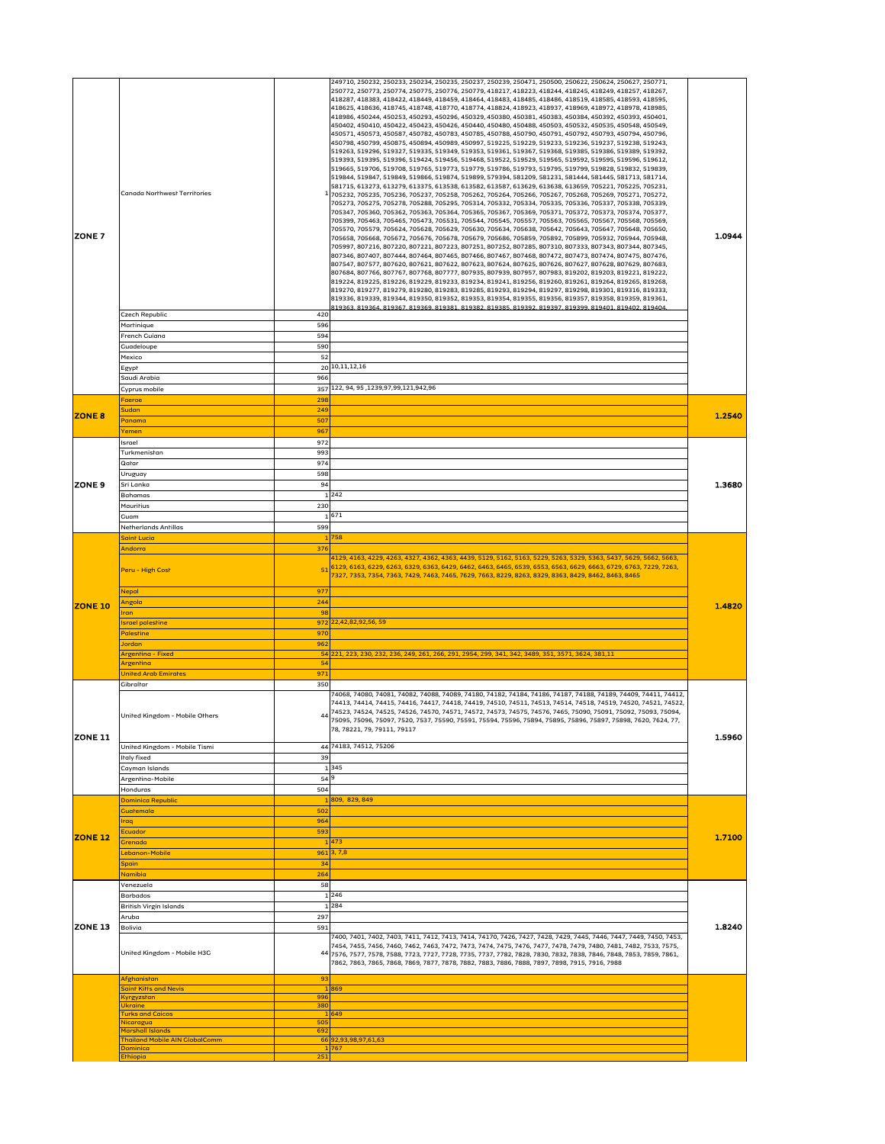| <b>IZONE 7</b> | Canada Northwest Territories                                     |            | 249710, 250232, 250233, 250234, 250235, 250237, 250239, 250471, 250500, 250622, 250624, 250627, 250771,<br> 250772, 250773, 250774, 250775, 250776, 250779, 418217, 418223, 418244, 418245, 418249, 418257, 418267,<br> 418287, 418383, 418422, 418449, 418459, 418464, 418483, 418485, 418486, 418519, 418585, 418593, 418595,<br> 418625, 418636, 418745, 418748, 418770, 418774, 418824, 418923, 418937, 418969, 418972, 418978, 418985,<br> 418986, 450244, 450253, 450293, 450296, 450329, 450380, 450381, 450383, 450384, 450392, 450393, 450401,<br> 450402, 450410, 450422, 450423, 450426, 450440, 450480, 450488, 450503, 450532, 450535, 450548, 450549,<br> 450571, 450573, 450587, 450782, 450783, 450785, 450788, 450790, 450791, 450792, 450793, 450794, 450796,<br> 450798, 450799, 450875, 450894, 450989, 450997, 519225, 519229, 519233, 519236, 519237, 519238, 519243,<br> 519263, 519296, 519327, 519335, 519349, 519353, 519361, 519367, 519368, 519385, 519386, 519389, 519392,<br> 519393, 519395, 519396, 519424, 519456, 519468, 519522, 519529, 519565, 519592, 519595, 519596, 519612,<br> 519665, 519706, 519708, 519765, 519773, 519779, 519786, 519793, 519795, 519799, 519828, 519832, 519839,<br> 519844, 519847, 519849, 519866, 519874, 519899, 579394, 581209, 581231, 581444, 581445, 581713, 581714,<br> 581715, 613273, 613279, 613375, 613538, 613582, 613587, 613629, 613638, 613659, 705221, 705225, 705231,<br> 705232, 705235, 705236, 705237, 705258, 705262, 705264, 705266, 705267, 705268, 705269, 705271, 705272,<br>705273, 705275, 705278, 705288, 705295, 705314, 705332, 705334, 705335, 705336, 705337, 705338, 705339,<br>705347, 705360, 705362, 705363, 705364, 705365, 705367, 705369, 705371, 705372, 705373, 705374, 705377,<br>705399, 705463, 705465, 705473, 705531, 705544, 705545, 705557, 705563, 705565, 705567, 705568, 705569,<br>705570, 705579, 705624, 705628, 705629, 705630, 705634, 705638, 705642, 705643, 705647, 705648, 705650,<br>705658, 705668, 705672, 705676, 705678, 705679, 705686, 705859, 705892, 705899, 705932, 705944, 705948,<br>705997, 807216, 807220, 807221, 807223, 807251, 807252, 807285, 807310, 807333, 807343, 807344, 807345,<br> 807346, 807407, 807444, 807464, 807465, 807466, 807467, 807468, 807472, 807473, 807474, 807475, 807476,<br> 807547, 807577, 807620, 807621, 807622, 807623, 807624, 807625, 807626, 807627, 807628, 807629, 807683,<br> 807684, 807766, 807767, 807768, 807777, 807935, 807939, 807957, 807983, 819202, 819203, 819221, 819222,<br> 819224, 819225, 819226, 819229, 819233, 819234, 819241, 819256, 819260, 819261, 819264, 819265, 819268,<br> 819270, 819277, 819279, 819280, 819283, 819285, 819293, 819294, 819297, 819298, 819301, 819316, 819333,<br> 819336, 819339, 819344, 819350, 819352, 819353, 819354, 819355, 819356, 819357, 819358, 819359, 819361,<br><u>819363. 819364. 819367. 819369. 819381. 819382. 819385. 819392. 819397. 819399. 819401. 819402. 819404.</u> | 1.0944 |
|----------------|------------------------------------------------------------------|------------|---------------------------------------------------------------------------------------------------------------------------------------------------------------------------------------------------------------------------------------------------------------------------------------------------------------------------------------------------------------------------------------------------------------------------------------------------------------------------------------------------------------------------------------------------------------------------------------------------------------------------------------------------------------------------------------------------------------------------------------------------------------------------------------------------------------------------------------------------------------------------------------------------------------------------------------------------------------------------------------------------------------------------------------------------------------------------------------------------------------------------------------------------------------------------------------------------------------------------------------------------------------------------------------------------------------------------------------------------------------------------------------------------------------------------------------------------------------------------------------------------------------------------------------------------------------------------------------------------------------------------------------------------------------------------------------------------------------------------------------------------------------------------------------------------------------------------------------------------------------------------------------------------------------------------------------------------------------------------------------------------------------------------------------------------------------------------------------------------------------------------------------------------------------------------------------------------------------------------------------------------------------------------------------------------------------------------------------------------------------------------------------------------------------------------------------------------------------------------------------------------------------------------------------------------------------------------------------------------------------------------------------------------------------------------------------------------------------------------------------------------------------------------------------------------------------------------------------------------------------------------------------------------------------------------------------------------------------------------------------------------------------------------------|--------|
|                | <b>Czech Republic</b>                                            | 420        |                                                                                                                                                                                                                                                                                                                                                                                                                                                                                                                                                                                                                                                                                                                                                                                                                                                                                                                                                                                                                                                                                                                                                                                                                                                                                                                                                                                                                                                                                                                                                                                                                                                                                                                                                                                                                                                                                                                                                                                                                                                                                                                                                                                                                                                                                                                                                                                                                                                                                                                                                                                                                                                                                                                                                                                                                                                                                                                                                                                                                                 |        |
|                | Martinique<br>French Guiana                                      | 596<br>594 |                                                                                                                                                                                                                                                                                                                                                                                                                                                                                                                                                                                                                                                                                                                                                                                                                                                                                                                                                                                                                                                                                                                                                                                                                                                                                                                                                                                                                                                                                                                                                                                                                                                                                                                                                                                                                                                                                                                                                                                                                                                                                                                                                                                                                                                                                                                                                                                                                                                                                                                                                                                                                                                                                                                                                                                                                                                                                                                                                                                                                                 |        |
|                | Guadeloupe                                                       | 590        |                                                                                                                                                                                                                                                                                                                                                                                                                                                                                                                                                                                                                                                                                                                                                                                                                                                                                                                                                                                                                                                                                                                                                                                                                                                                                                                                                                                                                                                                                                                                                                                                                                                                                                                                                                                                                                                                                                                                                                                                                                                                                                                                                                                                                                                                                                                                                                                                                                                                                                                                                                                                                                                                                                                                                                                                                                                                                                                                                                                                                                 |        |
|                | Mexico                                                           | 52         |                                                                                                                                                                                                                                                                                                                                                                                                                                                                                                                                                                                                                                                                                                                                                                                                                                                                                                                                                                                                                                                                                                                                                                                                                                                                                                                                                                                                                                                                                                                                                                                                                                                                                                                                                                                                                                                                                                                                                                                                                                                                                                                                                                                                                                                                                                                                                                                                                                                                                                                                                                                                                                                                                                                                                                                                                                                                                                                                                                                                                                 |        |
|                | Egypt<br>Saudi Arabia                                            | 966        | 20 10, 11, 12, 16                                                                                                                                                                                                                                                                                                                                                                                                                                                                                                                                                                                                                                                                                                                                                                                                                                                                                                                                                                                                                                                                                                                                                                                                                                                                                                                                                                                                                                                                                                                                                                                                                                                                                                                                                                                                                                                                                                                                                                                                                                                                                                                                                                                                                                                                                                                                                                                                                                                                                                                                                                                                                                                                                                                                                                                                                                                                                                                                                                                                               |        |
|                | Cyprus mobile                                                    |            | 357 122, 94, 95, 1239, 97, 99, 121, 942, 96                                                                                                                                                                                                                                                                                                                                                                                                                                                                                                                                                                                                                                                                                                                                                                                                                                                                                                                                                                                                                                                                                                                                                                                                                                                                                                                                                                                                                                                                                                                                                                                                                                                                                                                                                                                                                                                                                                                                                                                                                                                                                                                                                                                                                                                                                                                                                                                                                                                                                                                                                                                                                                                                                                                                                                                                                                                                                                                                                                                     |        |
|                | Faeroe                                                           | 298        |                                                                                                                                                                                                                                                                                                                                                                                                                                                                                                                                                                                                                                                                                                                                                                                                                                                                                                                                                                                                                                                                                                                                                                                                                                                                                                                                                                                                                                                                                                                                                                                                                                                                                                                                                                                                                                                                                                                                                                                                                                                                                                                                                                                                                                                                                                                                                                                                                                                                                                                                                                                                                                                                                                                                                                                                                                                                                                                                                                                                                                 |        |
| <b>ZONE 8</b>  | Sudan<br>Panama                                                  | 249<br>507 |                                                                                                                                                                                                                                                                                                                                                                                                                                                                                                                                                                                                                                                                                                                                                                                                                                                                                                                                                                                                                                                                                                                                                                                                                                                                                                                                                                                                                                                                                                                                                                                                                                                                                                                                                                                                                                                                                                                                                                                                                                                                                                                                                                                                                                                                                                                                                                                                                                                                                                                                                                                                                                                                                                                                                                                                                                                                                                                                                                                                                                 | 1.2540 |
|                | Yemen                                                            | 967        |                                                                                                                                                                                                                                                                                                                                                                                                                                                                                                                                                                                                                                                                                                                                                                                                                                                                                                                                                                                                                                                                                                                                                                                                                                                                                                                                                                                                                                                                                                                                                                                                                                                                                                                                                                                                                                                                                                                                                                                                                                                                                                                                                                                                                                                                                                                                                                                                                                                                                                                                                                                                                                                                                                                                                                                                                                                                                                                                                                                                                                 |        |
|                | Israel                                                           | 972        |                                                                                                                                                                                                                                                                                                                                                                                                                                                                                                                                                                                                                                                                                                                                                                                                                                                                                                                                                                                                                                                                                                                                                                                                                                                                                                                                                                                                                                                                                                                                                                                                                                                                                                                                                                                                                                                                                                                                                                                                                                                                                                                                                                                                                                                                                                                                                                                                                                                                                                                                                                                                                                                                                                                                                                                                                                                                                                                                                                                                                                 |        |
|                | Turkmenistan<br>Qatar                                            | 993<br>974 |                                                                                                                                                                                                                                                                                                                                                                                                                                                                                                                                                                                                                                                                                                                                                                                                                                                                                                                                                                                                                                                                                                                                                                                                                                                                                                                                                                                                                                                                                                                                                                                                                                                                                                                                                                                                                                                                                                                                                                                                                                                                                                                                                                                                                                                                                                                                                                                                                                                                                                                                                                                                                                                                                                                                                                                                                                                                                                                                                                                                                                 |        |
|                | Uruguay                                                          | 598        |                                                                                                                                                                                                                                                                                                                                                                                                                                                                                                                                                                                                                                                                                                                                                                                                                                                                                                                                                                                                                                                                                                                                                                                                                                                                                                                                                                                                                                                                                                                                                                                                                                                                                                                                                                                                                                                                                                                                                                                                                                                                                                                                                                                                                                                                                                                                                                                                                                                                                                                                                                                                                                                                                                                                                                                                                                                                                                                                                                                                                                 |        |
| <b>ZONE 9</b>  | Sri Lanka                                                        | 94         |                                                                                                                                                                                                                                                                                                                                                                                                                                                                                                                                                                                                                                                                                                                                                                                                                                                                                                                                                                                                                                                                                                                                                                                                                                                                                                                                                                                                                                                                                                                                                                                                                                                                                                                                                                                                                                                                                                                                                                                                                                                                                                                                                                                                                                                                                                                                                                                                                                                                                                                                                                                                                                                                                                                                                                                                                                                                                                                                                                                                                                 | 1.3680 |
|                | Bahamas                                                          |            | 242                                                                                                                                                                                                                                                                                                                                                                                                                                                                                                                                                                                                                                                                                                                                                                                                                                                                                                                                                                                                                                                                                                                                                                                                                                                                                                                                                                                                                                                                                                                                                                                                                                                                                                                                                                                                                                                                                                                                                                                                                                                                                                                                                                                                                                                                                                                                                                                                                                                                                                                                                                                                                                                                                                                                                                                                                                                                                                                                                                                                                             |        |
|                | <b>Mauritius</b><br>Guam                                         | 230        | 671                                                                                                                                                                                                                                                                                                                                                                                                                                                                                                                                                                                                                                                                                                                                                                                                                                                                                                                                                                                                                                                                                                                                                                                                                                                                                                                                                                                                                                                                                                                                                                                                                                                                                                                                                                                                                                                                                                                                                                                                                                                                                                                                                                                                                                                                                                                                                                                                                                                                                                                                                                                                                                                                                                                                                                                                                                                                                                                                                                                                                             |        |
|                | Netherlands Antillas                                             | 599        |                                                                                                                                                                                                                                                                                                                                                                                                                                                                                                                                                                                                                                                                                                                                                                                                                                                                                                                                                                                                                                                                                                                                                                                                                                                                                                                                                                                                                                                                                                                                                                                                                                                                                                                                                                                                                                                                                                                                                                                                                                                                                                                                                                                                                                                                                                                                                                                                                                                                                                                                                                                                                                                                                                                                                                                                                                                                                                                                                                                                                                 |        |
|                | <b>Saint Lucia</b>                                               |            | 758                                                                                                                                                                                                                                                                                                                                                                                                                                                                                                                                                                                                                                                                                                                                                                                                                                                                                                                                                                                                                                                                                                                                                                                                                                                                                                                                                                                                                                                                                                                                                                                                                                                                                                                                                                                                                                                                                                                                                                                                                                                                                                                                                                                                                                                                                                                                                                                                                                                                                                                                                                                                                                                                                                                                                                                                                                                                                                                                                                                                                             |        |
|                | Andorra<br>Peru - High Cost                                      | 376        | 4129, 4163, 4229, 4263, 4327, 4362, 4363, 4439, 5129, 5162, 5163, 5229, 5263, 5329, 5363, 5437, 5629, 5662, 5663,<br>516129, 6163, 6229, 6263, 6329, 6363, 6429, 6462, 6463, 6465, 6539, 6553, 6563, 6629, 6663, 6729, 6763, 7229, 7263,<br>7327, 7353, 7354, 7363, 7429, 7463, 7465, 7629, 7663, 8229, 8263, 8329, 8363, 8429, 8462, 8463, 8465                                                                                                                                                                                                                                                                                                                                                                                                                                                                                                                                                                                                                                                                                                                                                                                                                                                                                                                                                                                                                                                                                                                                                                                                                                                                                                                                                                                                                                                                                                                                                                                                                                                                                                                                                                                                                                                                                                                                                                                                                                                                                                                                                                                                                                                                                                                                                                                                                                                                                                                                                                                                                                                                                |        |
|                |                                                                  |            |                                                                                                                                                                                                                                                                                                                                                                                                                                                                                                                                                                                                                                                                                                                                                                                                                                                                                                                                                                                                                                                                                                                                                                                                                                                                                                                                                                                                                                                                                                                                                                                                                                                                                                                                                                                                                                                                                                                                                                                                                                                                                                                                                                                                                                                                                                                                                                                                                                                                                                                                                                                                                                                                                                                                                                                                                                                                                                                                                                                                                                 |        |
|                | <b>Nepal</b><br>Angola                                           | 977<br>244 |                                                                                                                                                                                                                                                                                                                                                                                                                                                                                                                                                                                                                                                                                                                                                                                                                                                                                                                                                                                                                                                                                                                                                                                                                                                                                                                                                                                                                                                                                                                                                                                                                                                                                                                                                                                                                                                                                                                                                                                                                                                                                                                                                                                                                                                                                                                                                                                                                                                                                                                                                                                                                                                                                                                                                                                                                                                                                                                                                                                                                                 |        |
| <b>ZONE 10</b> | Iran                                                             | 98         |                                                                                                                                                                                                                                                                                                                                                                                                                                                                                                                                                                                                                                                                                                                                                                                                                                                                                                                                                                                                                                                                                                                                                                                                                                                                                                                                                                                                                                                                                                                                                                                                                                                                                                                                                                                                                                                                                                                                                                                                                                                                                                                                                                                                                                                                                                                                                                                                                                                                                                                                                                                                                                                                                                                                                                                                                                                                                                                                                                                                                                 | 1.4820 |
|                | <b>Israel palestine</b>                                          |            | 972 22,42,82,92,56, 59                                                                                                                                                                                                                                                                                                                                                                                                                                                                                                                                                                                                                                                                                                                                                                                                                                                                                                                                                                                                                                                                                                                                                                                                                                                                                                                                                                                                                                                                                                                                                                                                                                                                                                                                                                                                                                                                                                                                                                                                                                                                                                                                                                                                                                                                                                                                                                                                                                                                                                                                                                                                                                                                                                                                                                                                                                                                                                                                                                                                          |        |
|                | <b>Palestine</b><br>Jordan                                       | 970<br>962 |                                                                                                                                                                                                                                                                                                                                                                                                                                                                                                                                                                                                                                                                                                                                                                                                                                                                                                                                                                                                                                                                                                                                                                                                                                                                                                                                                                                                                                                                                                                                                                                                                                                                                                                                                                                                                                                                                                                                                                                                                                                                                                                                                                                                                                                                                                                                                                                                                                                                                                                                                                                                                                                                                                                                                                                                                                                                                                                                                                                                                                 |        |
|                | Argentina - Fixed                                                |            | 54 221, 223, 230, 232, 236, 249, 261, 266, 291, 2954, 299, 341, 342, 3489, 351, 3571, 3624, 381, 11                                                                                                                                                                                                                                                                                                                                                                                                                                                                                                                                                                                                                                                                                                                                                                                                                                                                                                                                                                                                                                                                                                                                                                                                                                                                                                                                                                                                                                                                                                                                                                                                                                                                                                                                                                                                                                                                                                                                                                                                                                                                                                                                                                                                                                                                                                                                                                                                                                                                                                                                                                                                                                                                                                                                                                                                                                                                                                                             |        |
|                | Argentina                                                        | 54         |                                                                                                                                                                                                                                                                                                                                                                                                                                                                                                                                                                                                                                                                                                                                                                                                                                                                                                                                                                                                                                                                                                                                                                                                                                                                                                                                                                                                                                                                                                                                                                                                                                                                                                                                                                                                                                                                                                                                                                                                                                                                                                                                                                                                                                                                                                                                                                                                                                                                                                                                                                                                                                                                                                                                                                                                                                                                                                                                                                                                                                 |        |
|                | <b>United Arab Emirates</b>                                      | 971        |                                                                                                                                                                                                                                                                                                                                                                                                                                                                                                                                                                                                                                                                                                                                                                                                                                                                                                                                                                                                                                                                                                                                                                                                                                                                                                                                                                                                                                                                                                                                                                                                                                                                                                                                                                                                                                                                                                                                                                                                                                                                                                                                                                                                                                                                                                                                                                                                                                                                                                                                                                                                                                                                                                                                                                                                                                                                                                                                                                                                                                 |        |
| <b>ZONE 11</b> | Gibraltar<br>United Kingdom - Mobile Others                      | 350        | 74068, 74080, 74081, 74082, 74088, 74089, 74180, 74182, 74184, 74186, 74187, 74188, 74189, 74409, 74411, 74412,<br>74413, 74414, 74415, 74416, 74417, 74418, 74419, 74510, 74511, 74513, 74514, 74518, 74519, 74520, 74521, 74522,<br>74523, 74524, 74525, 74526, 74570, 74571, 74572, 74573, 74575, 74576, 7465, 75090, 75091, 75092, 75093, 75094,<br>75095, 75096, 75097, 7520, 7537, 75590, 75591, 75594, 75596, 75894, 75895, 75896, 75897, 75898, 7620, 7624, 77,<br>78, 78221, 79, 79111, 79117                                                                                                                                                                                                                                                                                                                                                                                                                                                                                                                                                                                                                                                                                                                                                                                                                                                                                                                                                                                                                                                                                                                                                                                                                                                                                                                                                                                                                                                                                                                                                                                                                                                                                                                                                                                                                                                                                                                                                                                                                                                                                                                                                                                                                                                                                                                                                                                                                                                                                                                          | 1.5960 |
|                | United Kingdom - Mobile Tismi                                    |            | 44 74183, 74512, 75206                                                                                                                                                                                                                                                                                                                                                                                                                                                                                                                                                                                                                                                                                                                                                                                                                                                                                                                                                                                                                                                                                                                                                                                                                                                                                                                                                                                                                                                                                                                                                                                                                                                                                                                                                                                                                                                                                                                                                                                                                                                                                                                                                                                                                                                                                                                                                                                                                                                                                                                                                                                                                                                                                                                                                                                                                                                                                                                                                                                                          |        |
|                | <b>Italy fixed</b><br>Cayman Islands                             | 39         | 345                                                                                                                                                                                                                                                                                                                                                                                                                                                                                                                                                                                                                                                                                                                                                                                                                                                                                                                                                                                                                                                                                                                                                                                                                                                                                                                                                                                                                                                                                                                                                                                                                                                                                                                                                                                                                                                                                                                                                                                                                                                                                                                                                                                                                                                                                                                                                                                                                                                                                                                                                                                                                                                                                                                                                                                                                                                                                                                                                                                                                             |        |
|                | Argentina-Mobile                                                 | 54 9       |                                                                                                                                                                                                                                                                                                                                                                                                                                                                                                                                                                                                                                                                                                                                                                                                                                                                                                                                                                                                                                                                                                                                                                                                                                                                                                                                                                                                                                                                                                                                                                                                                                                                                                                                                                                                                                                                                                                                                                                                                                                                                                                                                                                                                                                                                                                                                                                                                                                                                                                                                                                                                                                                                                                                                                                                                                                                                                                                                                                                                                 |        |
|                | Honduras                                                         | 504        |                                                                                                                                                                                                                                                                                                                                                                                                                                                                                                                                                                                                                                                                                                                                                                                                                                                                                                                                                                                                                                                                                                                                                                                                                                                                                                                                                                                                                                                                                                                                                                                                                                                                                                                                                                                                                                                                                                                                                                                                                                                                                                                                                                                                                                                                                                                                                                                                                                                                                                                                                                                                                                                                                                                                                                                                                                                                                                                                                                                                                                 |        |
|                | <b>Dominica Republic</b>                                         |            | 809, 829, 849                                                                                                                                                                                                                                                                                                                                                                                                                                                                                                                                                                                                                                                                                                                                                                                                                                                                                                                                                                                                                                                                                                                                                                                                                                                                                                                                                                                                                                                                                                                                                                                                                                                                                                                                                                                                                                                                                                                                                                                                                                                                                                                                                                                                                                                                                                                                                                                                                                                                                                                                                                                                                                                                                                                                                                                                                                                                                                                                                                                                                   |        |
|                | <b>Guaremala</b><br>Iraq                                         | 502<br>964 |                                                                                                                                                                                                                                                                                                                                                                                                                                                                                                                                                                                                                                                                                                                                                                                                                                                                                                                                                                                                                                                                                                                                                                                                                                                                                                                                                                                                                                                                                                                                                                                                                                                                                                                                                                                                                                                                                                                                                                                                                                                                                                                                                                                                                                                                                                                                                                                                                                                                                                                                                                                                                                                                                                                                                                                                                                                                                                                                                                                                                                 |        |
|                | <b>Ecuador</b>                                                   | 593        |                                                                                                                                                                                                                                                                                                                                                                                                                                                                                                                                                                                                                                                                                                                                                                                                                                                                                                                                                                                                                                                                                                                                                                                                                                                                                                                                                                                                                                                                                                                                                                                                                                                                                                                                                                                                                                                                                                                                                                                                                                                                                                                                                                                                                                                                                                                                                                                                                                                                                                                                                                                                                                                                                                                                                                                                                                                                                                                                                                                                                                 |        |
| <b>ZONE 12</b> | Grenada                                                          |            | 473                                                                                                                                                                                                                                                                                                                                                                                                                                                                                                                                                                                                                                                                                                                                                                                                                                                                                                                                                                                                                                                                                                                                                                                                                                                                                                                                                                                                                                                                                                                                                                                                                                                                                                                                                                                                                                                                                                                                                                                                                                                                                                                                                                                                                                                                                                                                                                                                                                                                                                                                                                                                                                                                                                                                                                                                                                                                                                                                                                                                                             | 1.7100 |
|                | Lebanon-Mobile<br><b>Spain</b>                                   | 34         | 961 3,7,8                                                                                                                                                                                                                                                                                                                                                                                                                                                                                                                                                                                                                                                                                                                                                                                                                                                                                                                                                                                                                                                                                                                                                                                                                                                                                                                                                                                                                                                                                                                                                                                                                                                                                                                                                                                                                                                                                                                                                                                                                                                                                                                                                                                                                                                                                                                                                                                                                                                                                                                                                                                                                                                                                                                                                                                                                                                                                                                                                                                                                       |        |
|                | <b>Namibia</b>                                                   | 264        |                                                                                                                                                                                                                                                                                                                                                                                                                                                                                                                                                                                                                                                                                                                                                                                                                                                                                                                                                                                                                                                                                                                                                                                                                                                                                                                                                                                                                                                                                                                                                                                                                                                                                                                                                                                                                                                                                                                                                                                                                                                                                                                                                                                                                                                                                                                                                                                                                                                                                                                                                                                                                                                                                                                                                                                                                                                                                                                                                                                                                                 |        |
|                | Venezuela                                                        | 58         |                                                                                                                                                                                                                                                                                                                                                                                                                                                                                                                                                                                                                                                                                                                                                                                                                                                                                                                                                                                                                                                                                                                                                                                                                                                                                                                                                                                                                                                                                                                                                                                                                                                                                                                                                                                                                                                                                                                                                                                                                                                                                                                                                                                                                                                                                                                                                                                                                                                                                                                                                                                                                                                                                                                                                                                                                                                                                                                                                                                                                                 |        |
|                | <b>Barbados</b>                                                  |            | 1 246                                                                                                                                                                                                                                                                                                                                                                                                                                                                                                                                                                                                                                                                                                                                                                                                                                                                                                                                                                                                                                                                                                                                                                                                                                                                                                                                                                                                                                                                                                                                                                                                                                                                                                                                                                                                                                                                                                                                                                                                                                                                                                                                                                                                                                                                                                                                                                                                                                                                                                                                                                                                                                                                                                                                                                                                                                                                                                                                                                                                                           |        |
|                | British Virgin Islands<br>Aruba                                  | 297        | 284                                                                                                                                                                                                                                                                                                                                                                                                                                                                                                                                                                                                                                                                                                                                                                                                                                                                                                                                                                                                                                                                                                                                                                                                                                                                                                                                                                                                                                                                                                                                                                                                                                                                                                                                                                                                                                                                                                                                                                                                                                                                                                                                                                                                                                                                                                                                                                                                                                                                                                                                                                                                                                                                                                                                                                                                                                                                                                                                                                                                                             |        |
| <b>ZONE 13</b> | <b>Bolivia</b>                                                   | 591        |                                                                                                                                                                                                                                                                                                                                                                                                                                                                                                                                                                                                                                                                                                                                                                                                                                                                                                                                                                                                                                                                                                                                                                                                                                                                                                                                                                                                                                                                                                                                                                                                                                                                                                                                                                                                                                                                                                                                                                                                                                                                                                                                                                                                                                                                                                                                                                                                                                                                                                                                                                                                                                                                                                                                                                                                                                                                                                                                                                                                                                 | 1.8240 |
|                | United Kingdom - Mobile H3G                                      |            | 7400, 7401, 7402, 7403, 7411, 7412, 7413, 7414, 74170, 7426, 7427, 7428, 7429, 7445, 7446, 7447, 7449, 7450, 7453,<br>7454, 7455, 7456, 7460, 7462, 7463, 7472, 7473, 7474, 7475, 7476, 7477, 7478, 7479, 7480, 7481, 7482, 7533, 7575,<br>44 7576, 7577, 7578, 7588, 7723, 7727, 7728, 7735, 7737, 7782, 7828, 7830, 7832, 7838, 7846, 7848, 7853, 7859, 7861,<br>7862, 7863, 7865, 7868, 7869, 7877, 7878, 7882, 7883, 7886, 7888, 7897, 7898, 7915, 7916, 7988                                                                                                                                                                                                                                                                                                                                                                                                                                                                                                                                                                                                                                                                                                                                                                                                                                                                                                                                                                                                                                                                                                                                                                                                                                                                                                                                                                                                                                                                                                                                                                                                                                                                                                                                                                                                                                                                                                                                                                                                                                                                                                                                                                                                                                                                                                                                                                                                                                                                                                                                                               |        |
|                | Afghanistan                                                      | 93         |                                                                                                                                                                                                                                                                                                                                                                                                                                                                                                                                                                                                                                                                                                                                                                                                                                                                                                                                                                                                                                                                                                                                                                                                                                                                                                                                                                                                                                                                                                                                                                                                                                                                                                                                                                                                                                                                                                                                                                                                                                                                                                                                                                                                                                                                                                                                                                                                                                                                                                                                                                                                                                                                                                                                                                                                                                                                                                                                                                                                                                 |        |
|                | <b>Saint Kitts and Nevis</b><br>Kyrgyzstan                       | 996        | 869                                                                                                                                                                                                                                                                                                                                                                                                                                                                                                                                                                                                                                                                                                                                                                                                                                                                                                                                                                                                                                                                                                                                                                                                                                                                                                                                                                                                                                                                                                                                                                                                                                                                                                                                                                                                                                                                                                                                                                                                                                                                                                                                                                                                                                                                                                                                                                                                                                                                                                                                                                                                                                                                                                                                                                                                                                                                                                                                                                                                                             |        |
|                | <b>Ukraine</b>                                                   | 380        |                                                                                                                                                                                                                                                                                                                                                                                                                                                                                                                                                                                                                                                                                                                                                                                                                                                                                                                                                                                                                                                                                                                                                                                                                                                                                                                                                                                                                                                                                                                                                                                                                                                                                                                                                                                                                                                                                                                                                                                                                                                                                                                                                                                                                                                                                                                                                                                                                                                                                                                                                                                                                                                                                                                                                                                                                                                                                                                                                                                                                                 |        |
|                | <b>Turks and Caicos</b><br>Nicaragua                             | 505        | $ 649\rangle$                                                                                                                                                                                                                                                                                                                                                                                                                                                                                                                                                                                                                                                                                                                                                                                                                                                                                                                                                                                                                                                                                                                                                                                                                                                                                                                                                                                                                                                                                                                                                                                                                                                                                                                                                                                                                                                                                                                                                                                                                                                                                                                                                                                                                                                                                                                                                                                                                                                                                                                                                                                                                                                                                                                                                                                                                                                                                                                                                                                                                   |        |
|                | <b>Marshall Islands</b><br><b>Thailand Mobile AIN GlobalComm</b> | 692        | 66 92, 93, 98, 97, 61, 63                                                                                                                                                                                                                                                                                                                                                                                                                                                                                                                                                                                                                                                                                                                                                                                                                                                                                                                                                                                                                                                                                                                                                                                                                                                                                                                                                                                                                                                                                                                                                                                                                                                                                                                                                                                                                                                                                                                                                                                                                                                                                                                                                                                                                                                                                                                                                                                                                                                                                                                                                                                                                                                                                                                                                                                                                                                                                                                                                                                                       |        |
|                | <b>Dominica</b>                                                  |            | 1 767                                                                                                                                                                                                                                                                                                                                                                                                                                                                                                                                                                                                                                                                                                                                                                                                                                                                                                                                                                                                                                                                                                                                                                                                                                                                                                                                                                                                                                                                                                                                                                                                                                                                                                                                                                                                                                                                                                                                                                                                                                                                                                                                                                                                                                                                                                                                                                                                                                                                                                                                                                                                                                                                                                                                                                                                                                                                                                                                                                                                                           |        |
|                | <b>Ethiopia</b>                                                  | 251        |                                                                                                                                                                                                                                                                                                                                                                                                                                                                                                                                                                                                                                                                                                                                                                                                                                                                                                                                                                                                                                                                                                                                                                                                                                                                                                                                                                                                                                                                                                                                                                                                                                                                                                                                                                                                                                                                                                                                                                                                                                                                                                                                                                                                                                                                                                                                                                                                                                                                                                                                                                                                                                                                                                                                                                                                                                                                                                                                                                                                                                 |        |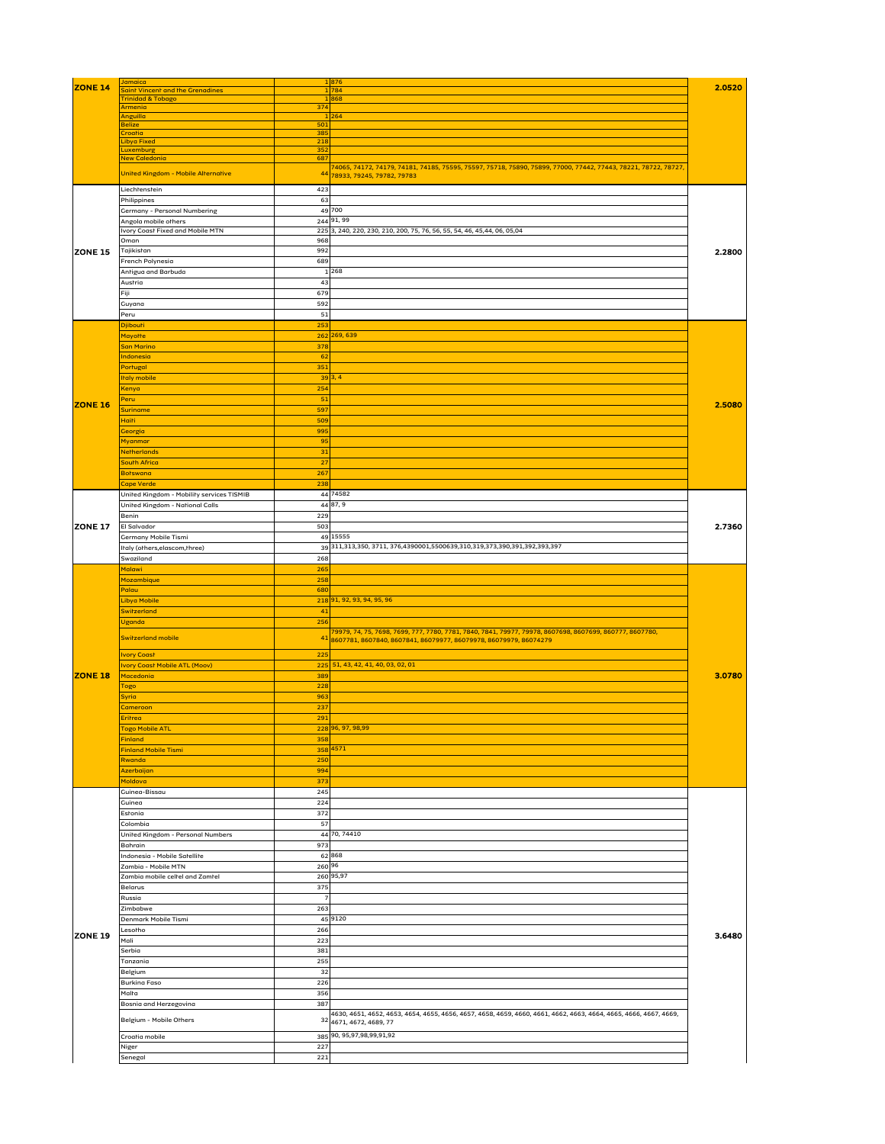|                | Jamaica                                   |        | 1876                                                                                                            |        |
|----------------|-------------------------------------------|--------|-----------------------------------------------------------------------------------------------------------------|--------|
| ZONE 14        | Saint Vincent and the Grenadines          |        | L 784                                                                                                           | 2.0520 |
|                | Trinidad & Tobago                         |        | 868                                                                                                             |        |
|                | Armenia                                   | 374    |                                                                                                                 |        |
|                | Anguilla                                  |        | $ 264\rangle$                                                                                                   |        |
|                | Belize                                    | 501    |                                                                                                                 |        |
|                | Croatia                                   | 385    |                                                                                                                 |        |
|                | Libya Fixed                               | 218    |                                                                                                                 |        |
|                | Luxemburg                                 | 352    |                                                                                                                 |        |
|                | New Caledonia                             | 687    |                                                                                                                 |        |
|                | United Kingdom - Mobile Alternative       |        | 74065, 74172, 74179, 74181, 74185, 75595, 75597, 75718, 75890, 75899, 77000, 77442, 77443, 78221, 78722, 78727, |        |
|                |                                           |        | 44 78933, 79245, 79782, 79783                                                                                   |        |
|                | Liechrensrein                             | 423    |                                                                                                                 |        |
|                | Philippines                               | 63     |                                                                                                                 |        |
|                | Germany - Personal Numbering              |        | 49 700                                                                                                          |        |
|                | Angola mobile others                      |        | 244 91, 99                                                                                                      |        |
|                | <b>Ivory Coast Fixed and Mobile MTN</b>   |        | 225 3, 240, 220, 230, 210, 200, 75, 76, 56, 55, 54, 46, 45,44, 06, 05,04                                        |        |
|                | Oman                                      | 968    |                                                                                                                 |        |
|                |                                           |        |                                                                                                                 |        |
| <b>ZONE 15</b> | Tajikistan                                | 992    |                                                                                                                 | 2.2800 |
|                | French Polynesia                          | 689    |                                                                                                                 |        |
|                | Antigua and Barbuda                       |        | 268                                                                                                             |        |
|                | Austria                                   |        |                                                                                                                 |        |
|                |                                           | 43     |                                                                                                                 |        |
|                | Fiji                                      | 679    |                                                                                                                 |        |
|                | Guyana                                    | 592    |                                                                                                                 |        |
|                | Peru                                      | 51     |                                                                                                                 |        |
|                |                                           |        |                                                                                                                 |        |
|                | Djibouri                                  | 253    |                                                                                                                 |        |
|                | Mayotte                                   |        | 262 269, 639                                                                                                    |        |
|                | San Marino                                | 378    |                                                                                                                 |        |
|                | Indonesia                                 | 62     |                                                                                                                 |        |
|                |                                           |        |                                                                                                                 |        |
|                | Portugal                                  | 351    |                                                                                                                 |        |
|                | <b>Italy mobile</b>                       |        | 39 3,4                                                                                                          |        |
|                | Kenya                                     | 254    |                                                                                                                 |        |
|                |                                           |        |                                                                                                                 |        |
| <b>ZONE 16</b> | Peru                                      | 51     |                                                                                                                 | 2.5080 |
|                | Suriname                                  | 597    |                                                                                                                 |        |
|                | Haiti                                     | 509    |                                                                                                                 |        |
|                | Georgia                                   | 995    |                                                                                                                 |        |
|                |                                           |        |                                                                                                                 |        |
|                | Myanmar                                   | 95     |                                                                                                                 |        |
|                | Netherlands                               | 31     |                                                                                                                 |        |
|                | South Africa                              | 27     |                                                                                                                 |        |
|                |                                           |        |                                                                                                                 |        |
|                | Botswana                                  | 267    |                                                                                                                 |        |
|                | Cape Verde                                | 238    |                                                                                                                 |        |
|                | United Kingdom - Mobility services TISMIB |        | 44 74582                                                                                                        |        |
|                | United Kingdom - National Calls           |        | 44 87, 9                                                                                                        |        |
|                |                                           |        |                                                                                                                 |        |
|                | Benin                                     | 229    |                                                                                                                 |        |
| <b>ZONE 17</b> | El Salvador                               | 503    |                                                                                                                 | 2.7360 |
|                | Germany Mobile Tismi                      |        | 49 15555                                                                                                        |        |
|                |                                           |        |                                                                                                                 |        |
|                | Italy (others, elascom, three)            |        | 39 311, 313, 350, 3711, 376, 4390001, 5500639, 310, 319, 373, 390, 391, 392, 393, 397                           |        |
|                | Swaziland                                 | 268    |                                                                                                                 |        |
|                | Malawi                                    | 265    |                                                                                                                 |        |
|                |                                           | 258    |                                                                                                                 |        |
|                | Mozambique                                |        |                                                                                                                 |        |
|                | Palau                                     | 680    |                                                                                                                 |        |
|                | Libya Mobile                              |        | 218 91, 92, 93, 94, 95, 96                                                                                      |        |
|                | Switzerland                               | 41     |                                                                                                                 |        |
|                |                                           |        |                                                                                                                 |        |
|                | Uganda                                    | 256    |                                                                                                                 |        |
|                |                                           |        | 79979, 74, 75, 7698, 7699, 777, 7780, 7781, 7840, 7841, 79977, 79978, 8607698, 8607699, 860777, 8607780,        |        |
|                | <b>Switzerland mobile</b>                 |        | $41\,$ 8607781, 8607840, 8607841, 86079977, 86079978, 86079979, 86074279                                        |        |
|                | <b>Ivory Coast</b>                        | 225    |                                                                                                                 |        |
|                |                                           |        |                                                                                                                 |        |
|                | <b>Ivory Coast Mobile ATL (Moov)</b>      |        | $225\,$ 51, 43, 42, 41, 40, 03, 02, 01                                                                          |        |
| <b>ZONE 18</b> | Macedonia                                 | 389    |                                                                                                                 | 3.0780 |
|                | Togo                                      | 228    |                                                                                                                 |        |
|                |                                           | 963    |                                                                                                                 |        |
|                | <b>Syria</b>                              |        |                                                                                                                 |        |
|                | <b>Cameroon</b>                           | 237    |                                                                                                                 |        |
|                | Eritrea                                   | 291    |                                                                                                                 |        |
|                | Togo Mobile ATL                           |        | 228 96, 97, 98,99                                                                                               |        |
|                | Finland                                   | 358    |                                                                                                                 |        |
|                |                                           |        | 358 4571                                                                                                        |        |
|                | <b>Finland Mobile Tismi</b>               |        |                                                                                                                 |        |
|                | Rwanda                                    | 250    |                                                                                                                 |        |
|                | Azerbaijan                                | 994    |                                                                                                                 |        |
|                | Moldova                                   | 373    |                                                                                                                 |        |
|                |                                           |        |                                                                                                                 |        |
|                | Guinea-Bissau                             | 245    |                                                                                                                 |        |
|                | Guinea                                    | 224    |                                                                                                                 |        |
|                | Estonia                                   | 372    |                                                                                                                 |        |
|                | Colombia                                  | 57     |                                                                                                                 |        |
|                |                                           |        |                                                                                                                 |        |
|                | United Kingdom - Personal Numbers         |        | 44 70, 74410                                                                                                    |        |
|                | Bahrain                                   | 973    |                                                                                                                 |        |
|                | Indonesia - Mobile Satellite              |        | 62868                                                                                                           |        |
|                | Zambia - Mobile MTN                       | 260 96 |                                                                                                                 |        |
|                |                                           |        |                                                                                                                 |        |
|                | Zambia mobile cellel and Zamrel           |        | 260 95,97                                                                                                       |        |
|                | Belarus                                   | 375    |                                                                                                                 |        |
|                | Russia                                    |        |                                                                                                                 |        |
|                |                                           |        |                                                                                                                 |        |
|                | Zimbabwe                                  | 263    |                                                                                                                 |        |
|                | Denmark Mobile Tismi                      |        | 45 9120                                                                                                         |        |
|                | Lesorho                                   | 266    |                                                                                                                 |        |
| <b>ZONE 19</b> | Mali                                      | 223    |                                                                                                                 | 3.6480 |
|                |                                           |        |                                                                                                                 |        |
|                | Serbia                                    | 381    |                                                                                                                 |        |
|                | Tanzania                                  | 255    |                                                                                                                 |        |
|                |                                           |        |                                                                                                                 |        |
|                |                                           | 32     |                                                                                                                 |        |
|                | Belgium                                   |        |                                                                                                                 |        |
|                | <b>Burking Faso</b>                       | 226    |                                                                                                                 |        |
|                | Malra                                     | 356    |                                                                                                                 |        |
|                | Bosnia and Herzegovina                    | 387    |                                                                                                                 |        |

| Belgium - Mobile Others |     | 403U, 403L, 403Z, 4033, 4034, 4033, 4030, 4037, 4036, 4039, 400U, 400I, 400Z, 4003, 4004, 4005, 4000, 4007, 4009,<br>32 4671, 4672, 4689, 77 |
|-------------------------|-----|----------------------------------------------------------------------------------------------------------------------------------------------|
| Croatia mobile          |     | 385 90, 95,97,98,99,91,92                                                                                                                    |
| Niger                   | 227 |                                                                                                                                              |
| Senegal                 | 221 |                                                                                                                                              |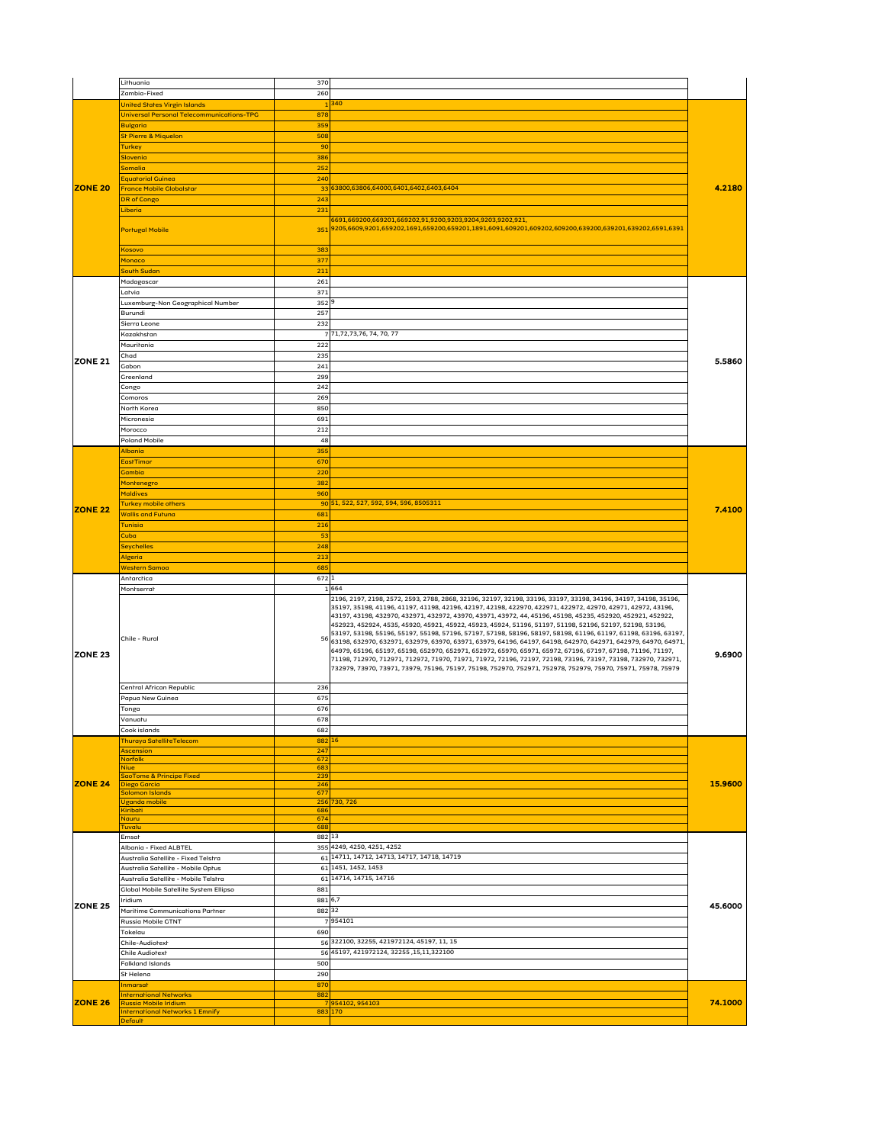|                | Lithuania                                                     | 370          |                                                                                                                                                                                                                                                                                                                                                                                                                                                               |         |
|----------------|---------------------------------------------------------------|--------------|---------------------------------------------------------------------------------------------------------------------------------------------------------------------------------------------------------------------------------------------------------------------------------------------------------------------------------------------------------------------------------------------------------------------------------------------------------------|---------|
|                | Zambia-Fixed                                                  | 260          |                                                                                                                                                                                                                                                                                                                                                                                                                                                               |         |
|                | <b>United States Virgin Islands</b>                           |              | $ 340\rangle$                                                                                                                                                                                                                                                                                                                                                                                                                                                 |         |
|                | Universal Personal Telecommunications-TPG                     | 878          |                                                                                                                                                                                                                                                                                                                                                                                                                                                               |         |
|                | <b>Bulgaria</b>                                               | 359          |                                                                                                                                                                                                                                                                                                                                                                                                                                                               |         |
|                | St Pierre & Miquelon                                          | 508          |                                                                                                                                                                                                                                                                                                                                                                                                                                                               |         |
|                | <b>Turkey</b>                                                 | 90           |                                                                                                                                                                                                                                                                                                                                                                                                                                                               |         |
|                | Slovenia<br>Somalia                                           | 386<br>252   |                                                                                                                                                                                                                                                                                                                                                                                                                                                               |         |
|                | <b>Equatorial Guinea</b>                                      | 240          |                                                                                                                                                                                                                                                                                                                                                                                                                                                               |         |
| <b>ZONE 20</b> | <b>France Mobile Globalstar</b>                               |              | 33 63800,63806,64000,6401,6402,6403,6404                                                                                                                                                                                                                                                                                                                                                                                                                      | 4.2180  |
|                | <b>DR</b> of Congo                                            | 243          |                                                                                                                                                                                                                                                                                                                                                                                                                                                               |         |
|                | Liberia                                                       | 231          |                                                                                                                                                                                                                                                                                                                                                                                                                                                               |         |
|                |                                                               |              | 6691,669200,669201,669202,91,9200,9203,9204,9203,9202,921,                                                                                                                                                                                                                                                                                                                                                                                                    |         |
|                | <b>Portugal Mobile</b>                                        |              | 3519205,6609,9201,659202,1691,659200,659201,1891,6091,609201,609202,609200,639200,639201,639202,6591,6391                                                                                                                                                                                                                                                                                                                                                     |         |
|                | Kosovo                                                        | 383          |                                                                                                                                                                                                                                                                                                                                                                                                                                                               |         |
|                | Monaco                                                        | 377          |                                                                                                                                                                                                                                                                                                                                                                                                                                                               |         |
|                | South Sudan                                                   | 211          |                                                                                                                                                                                                                                                                                                                                                                                                                                                               |         |
|                | Madagascar                                                    | 261          |                                                                                                                                                                                                                                                                                                                                                                                                                                                               |         |
|                | Latvia                                                        | 371          |                                                                                                                                                                                                                                                                                                                                                                                                                                                               |         |
|                | Luxemburg-Non Geographical Number                             | 352 9        |                                                                                                                                                                                                                                                                                                                                                                                                                                                               |         |
|                | Burundi                                                       | 257          |                                                                                                                                                                                                                                                                                                                                                                                                                                                               |         |
|                | Sierra Leone<br>Kazakhstan                                    | 232          | 771,72,73,76, 74, 70, 77                                                                                                                                                                                                                                                                                                                                                                                                                                      |         |
|                | Mauritania                                                    | 222          |                                                                                                                                                                                                                                                                                                                                                                                                                                                               |         |
|                | Chad                                                          | 235          |                                                                                                                                                                                                                                                                                                                                                                                                                                                               |         |
| <b>ZONE 21</b> | Gabon                                                         | 241          |                                                                                                                                                                                                                                                                                                                                                                                                                                                               | 5.5860  |
|                | Greenland                                                     | 299          |                                                                                                                                                                                                                                                                                                                                                                                                                                                               |         |
|                | Congo                                                         | 242          |                                                                                                                                                                                                                                                                                                                                                                                                                                                               |         |
|                | Comoros                                                       | 269          |                                                                                                                                                                                                                                                                                                                                                                                                                                                               |         |
|                | North Korea<br>Micronesia                                     | 850<br>691   |                                                                                                                                                                                                                                                                                                                                                                                                                                                               |         |
|                | Morocco                                                       | 212          |                                                                                                                                                                                                                                                                                                                                                                                                                                                               |         |
|                | <b>Poland Mobile</b>                                          | 48           |                                                                                                                                                                                                                                                                                                                                                                                                                                                               |         |
|                | <b>Albania</b>                                                | 355          |                                                                                                                                                                                                                                                                                                                                                                                                                                                               |         |
|                | <b>EastTimor</b>                                              | 670          |                                                                                                                                                                                                                                                                                                                                                                                                                                                               |         |
|                | <b>Gambia</b>                                                 | 220          |                                                                                                                                                                                                                                                                                                                                                                                                                                                               |         |
|                | Montenegro<br><b>Maldives</b>                                 | 382<br>960   |                                                                                                                                                                                                                                                                                                                                                                                                                                                               |         |
|                | Turkey mobile others                                          |              | 90 51, 522, 527, 592, 594, 596, 8505311                                                                                                                                                                                                                                                                                                                                                                                                                       |         |
| <b>ZONE 22</b> | <b>Wallis and Futuna</b>                                      | 681          |                                                                                                                                                                                                                                                                                                                                                                                                                                                               | 7.4100  |
|                | Tunisia                                                       | 216          |                                                                                                                                                                                                                                                                                                                                                                                                                                                               |         |
|                | <b>Cuba</b>                                                   | 53           |                                                                                                                                                                                                                                                                                                                                                                                                                                                               |         |
|                | <b>Seychelles</b>                                             | 248          |                                                                                                                                                                                                                                                                                                                                                                                                                                                               |         |
|                |                                                               |              |                                                                                                                                                                                                                                                                                                                                                                                                                                                               |         |
|                | Algeria                                                       | 213          |                                                                                                                                                                                                                                                                                                                                                                                                                                                               |         |
|                | <b>Western Samoa</b><br>Antarctica                            | 685<br>672 1 |                                                                                                                                                                                                                                                                                                                                                                                                                                                               |         |
|                | Montserrat                                                    |              | 1 664                                                                                                                                                                                                                                                                                                                                                                                                                                                         |         |
|                |                                                               |              | 2196, 2197, 2198, 2572, 2593, 2788, 2868, 32196, 32197, 32198, 33196, 33197, 33198, 34196, 34197, 34198, 35196,<br> 35197, 35198, 41196, 41197, 41198, 42196, 42197, 42198, 422970, 422971, 422972, 42970, 42971, 42972, 43196,<br> 43197, 43198, 432970, 432971, 432972, 43970, 43971, 43972, 44, 45196, 45198, 45235, 452920, 452921, 452922,<br> 452923, 452924, 4535, 45920, 45921, 45922, 45923, 45924, 51196, 51197, 51198, 52196, 52197, 52198, 53196, |         |
|                | Chile - Rural                                                 | 56           | , 53197, 53198, 55196, 55197, 55198, 57196, 57197, 57198, 58196, 58197, 58198, 61196, 61197, 61198, 63196, 63197<br> 63198, 632970, 632971, 632979, 63970, 63971, 63979, 64196, 64197, 64198, 642970, 642971, 642979, 64970, 64971,<br> 64979, 65196, 65197, 65198, 652970, 652971, 652972, 65970, 65971, 65972, 67196, 67197, 67198, 71196, 71197,                                                                                                           |         |
| <b>ZONE 23</b> |                                                               |              | 71198, 712970, 712971, 712972, 71970, 71971, 71972, 72196, 72197, 72198, 73196, 73197, 73198, 732970, 732971,<br> 732979, 73970, 73971, 73979, 75196, 75197, 75198, 752970, 752971, 752978, 752979, 75970, 75971, 75978, 75979                                                                                                                                                                                                                                | 9.6900  |
|                | Central African Republic                                      | 236          |                                                                                                                                                                                                                                                                                                                                                                                                                                                               |         |
|                | Papua New Guinea                                              | 675          |                                                                                                                                                                                                                                                                                                                                                                                                                                                               |         |
|                | Tonga<br>Vanuatu                                              | 676<br>678   |                                                                                                                                                                                                                                                                                                                                                                                                                                                               |         |
|                | Cook islands                                                  | 682          |                                                                                                                                                                                                                                                                                                                                                                                                                                                               |         |
|                | <b>Thuraya SatelliteTelecom</b>                               | 882 16       |                                                                                                                                                                                                                                                                                                                                                                                                                                                               |         |
|                | Ascension<br><b>Norfolk</b>                                   | 247<br>672   |                                                                                                                                                                                                                                                                                                                                                                                                                                                               |         |
|                | Niue                                                          | 683          |                                                                                                                                                                                                                                                                                                                                                                                                                                                               |         |
|                | SaoTome & Principe Fixed                                      | 239          |                                                                                                                                                                                                                                                                                                                                                                                                                                                               |         |
| <b>ZONE 24</b> | Diego Garcia<br>Solomon Islands                               | 246<br>677   |                                                                                                                                                                                                                                                                                                                                                                                                                                                               | 15.9600 |
|                | <b>Uganda mobile</b>                                          |              | 256 730, 726                                                                                                                                                                                                                                                                                                                                                                                                                                                  |         |
|                | Kiribati<br>Nauru                                             | 686<br>674   |                                                                                                                                                                                                                                                                                                                                                                                                                                                               |         |
|                | Tuvalu                                                        | 688          |                                                                                                                                                                                                                                                                                                                                                                                                                                                               |         |
|                | Emsat                                                         | 882 13       |                                                                                                                                                                                                                                                                                                                                                                                                                                                               |         |
|                | Albania - Fixed ALBTEL<br>Australia Satellite - Fixed Telstra |              | 355 4249, 4250, 4251, 4252<br>61 14711, 14712, 14713, 14717, 14718, 14719                                                                                                                                                                                                                                                                                                                                                                                     |         |
|                | Australia Satellite - Mobile Optus                            |              | 61 1451, 1452, 1453                                                                                                                                                                                                                                                                                                                                                                                                                                           |         |
|                | Australia Satellite - Mobile Telstra                          |              | 61 14714, 14715, 14716                                                                                                                                                                                                                                                                                                                                                                                                                                        |         |
|                | <b>Global Mobile Satellite System Ellipso</b>                 | 881          |                                                                                                                                                                                                                                                                                                                                                                                                                                                               |         |
| <b>ZONE 25</b> | Iridium                                                       | 881 6,7      |                                                                                                                                                                                                                                                                                                                                                                                                                                                               | 45.6000 |
|                | Maritime Communications Partner<br><b>Russia Mobile GTNT</b>  | 88232        | 7954101                                                                                                                                                                                                                                                                                                                                                                                                                                                       |         |
|                | Tokelau                                                       | 690          |                                                                                                                                                                                                                                                                                                                                                                                                                                                               |         |
|                | Chile-Audiorexr                                               |              | 56 322100, 32255, 421972124, 45197, 11, 15                                                                                                                                                                                                                                                                                                                                                                                                                    |         |
|                | <b>Chile Audiorext</b>                                        |              | 56 45197, 421972124, 32255, 15, 11, 322100                                                                                                                                                                                                                                                                                                                                                                                                                    |         |
|                | <b>Falkland Islands</b>                                       | 500          |                                                                                                                                                                                                                                                                                                                                                                                                                                                               |         |
|                | St Helena<br>Inmarsat                                         | 290<br>870   |                                                                                                                                                                                                                                                                                                                                                                                                                                                               |         |
| <b>ZONE 26</b> | <b>International Networks</b><br><b>Russia Mobile Iridium</b> | 882          | 7954102, 954103                                                                                                                                                                                                                                                                                                                                                                                                                                               | 74.1000 |

| -----<br>- -- - -- - - - - - |  |
|------------------------------|--|
| $\sim$                       |  |
| Jeraulf                      |  |
|                              |  |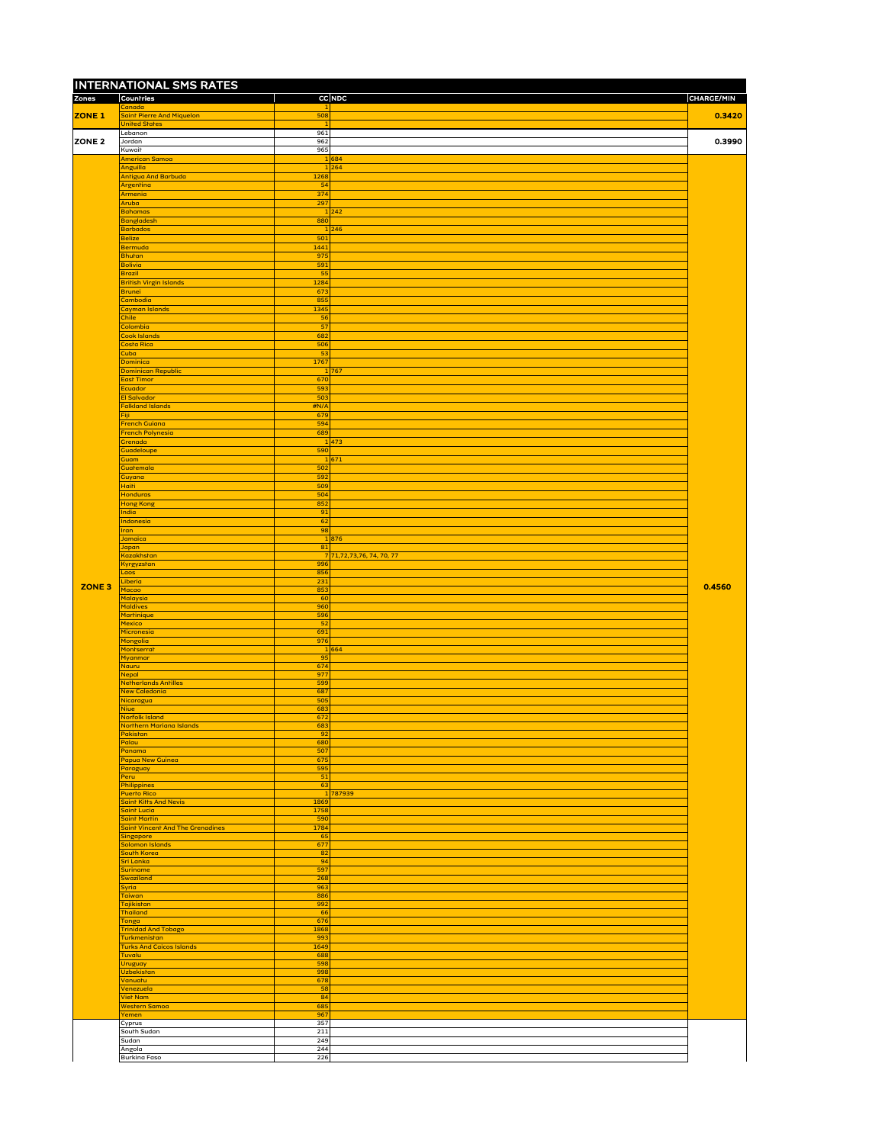|               | <b>INTERNATIONAL SMS RATES</b>                         |                     |                           |                   |
|---------------|--------------------------------------------------------|---------------------|---------------------------|-------------------|
| <b>Zones</b>  | Countries<br>Canada                                    |                     | <b>CC NDC</b>             | <b>CHARGE/MIN</b> |
| <b>ZONE 1</b> | Saint Pierre And Miquelon<br><b>United States</b>      | 508                 |                           | 0.3420            |
| <b>ZONE 2</b> | Lebanon<br>Jordan                                      | 961<br>962          |                           | 0.3990            |
|               | Kuwait                                                 | 965                 |                           |                   |
|               | <b>American Samoa</b><br>Anguilla                      |                     | 1 684<br>1 264            |                   |
|               | <b>Antigua And Barbuda</b><br>Argentina                | 1268<br>54          |                           |                   |
|               | Armenia<br>Aruba                                       | 374<br>297          |                           |                   |
|               | <b>Bahamas</b>                                         |                     | 1 242                     |                   |
|               | Bangladesh<br><b>Barbados</b>                          | 880                 | 1 246                     |                   |
|               | <b>Belize</b><br>Bermuda                               | 501<br>1441         |                           |                   |
|               | <b>Bhutan</b>                                          | 975                 |                           |                   |
|               | Bolivia<br><b>Brazil</b>                               | 591<br>55           |                           |                   |
|               | <b>British Virgin Islands</b><br>Brunei                | 1284<br>673         |                           |                   |
|               | Cambodia                                               | 855                 |                           |                   |
|               | Cayman Islands<br>Chile                                | 1345<br>56          |                           |                   |
|               | Colombia<br>Cook Islands                               | 57<br>$\boxed{682}$ |                           |                   |
|               | Costa Rica<br><b>Cuba</b>                              | 506<br>53           |                           |                   |
|               | Dominica                                               | 1767                |                           |                   |
|               | <b>Dominican Republic</b><br>East Timor                | 670                 | 1 767                     |                   |
|               | Ecuador<br><b>El Salvador</b>                          | 593<br>503          |                           |                   |
|               | <b>Falkland Islands</b>                                | H N/A               |                           |                   |
|               | Fiji<br><b>French Guiana</b>                           | 679<br>594          |                           |                   |
|               | French Polynesia<br>Grenada                            | 689                 | 1 473                     |                   |
|               | <b>Guadeloupe</b>                                      | 590                 |                           |                   |
|               | Guam<br>Guatemala                                      | 502                 | 1 671                     |                   |
|               | Guyana<br><b>Haiti</b>                                 | 592<br>509          |                           |                   |
|               | <b>Honduras</b><br>Hong Kong                           | 504<br>852          |                           |                   |
|               | India                                                  | 91                  |                           |                   |
|               | Indonesia<br><b>Iran</b>                               | 62<br>98            |                           |                   |
|               | Jamaica<br>Japan                                       | 81                  | 1 876                     |                   |
|               | Kazakhstan                                             | 996                 | 7 71,72,73,76, 74, 70, 77 |                   |
|               | Kyrgyzstan<br><b>Laos</b>                              | 856                 |                           |                   |
| ZONE 3        | Liberia<br>Macao                                       | 231<br>853          |                           | 0.4560            |
|               | Malaysia<br><b>Maldives</b>                            | $\vert$ 60<br> 960  |                           |                   |
|               | Martinique<br>Mexico                                   | 596<br>52           |                           |                   |
|               | Micronesia                                             | 691                 |                           |                   |
|               | Mongolia<br>Montserrat                                 | 976                 | 1 664                     |                   |
|               | Myanmar<br>Nauru                                       | 95<br>674           |                           |                   |
|               | <b>Nepal</b><br><b>Netherlands Antilles</b>            | 977<br>599          |                           |                   |
|               | New Caledonia<br>Nicaragua                             | 687<br>505          |                           |                   |
|               | Niue<br>Norfolk Island                                 | 683<br>672          |                           |                   |
|               | Northern Mariana Islands                               | 683                 |                           |                   |
|               | Pakistan<br>Palau                                      | 92<br> 680          |                           |                   |
|               | Panama<br>Papua New Guinea                             | 507<br>675          |                           |                   |
|               | Paraguay<br>Peru                                       | 595<br>51           |                           |                   |
|               | Philippines<br><b>Puerto Rico</b>                      | 63                  | 1 787939                  |                   |
|               | <b>Saint Kitts And Nevis</b>                           | 1869                |                           |                   |
|               | Saint Lucia<br>Saint Martin                            | 1758<br>590         |                           |                   |
|               | Saint Vincent And The Grenadines<br>Singapore          | 1784<br>65          |                           |                   |
|               | Solomon Islands<br>South Korea                         | 677<br> 82          |                           |                   |
|               | Sri Lanka<br>Suriname                                  | 94<br>597           |                           |                   |
|               | Swaziland                                              | 268                 |                           |                   |
|               | Syria<br>Taiwan                                        | 963<br>886          |                           |                   |
|               | Tajikistan<br>Thailand                                 | 992<br>66           |                           |                   |
|               | Tonga<br><b>Trinidad And Tobago</b>                    | 676<br>1868         |                           |                   |
|               | <b>Turkmenistan</b><br><b>Turks And Caicos Islands</b> | 993<br>1649         |                           |                   |
|               | Tuvalu                                                 | 688                 |                           |                   |
|               | <b>Uruguay</b><br><b>Uzbekistan</b>                    | 598<br>998          |                           |                   |
|               | Vanuatu<br>Venezuela                                   | 678<br>58           |                           |                   |
|               | <b>Viet Nam</b>                                        | 84                  |                           |                   |
|               |                                                        |                     |                           |                   |
|               | <b>Western Samoa</b><br>Yemen                          | 685<br>967          |                           |                   |
|               | Cyprus<br>Sourh Sudan                                  | 357<br>211          |                           |                   |
|               | Sudan<br>Angola                                        | 249<br>244<br>226   |                           |                   |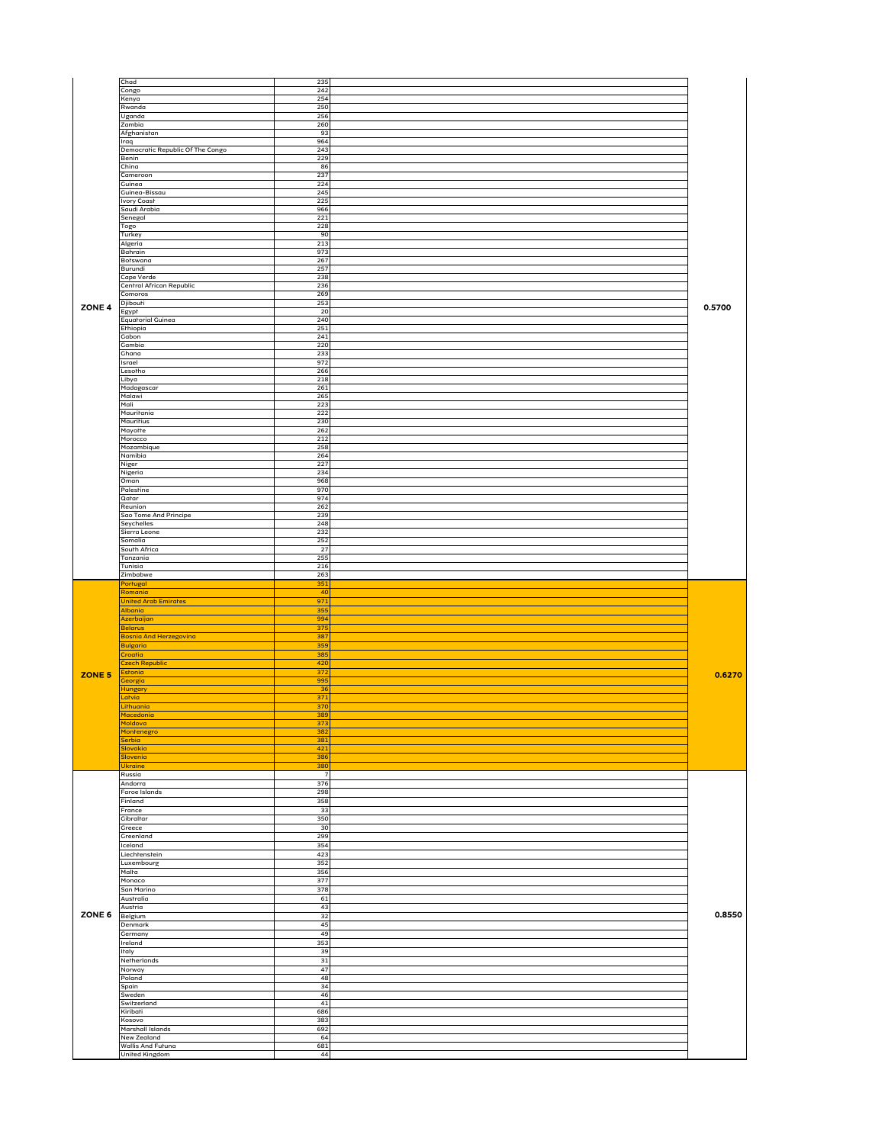|               | Chad                             | 235             |        |
|---------------|----------------------------------|-----------------|--------|
|               | Congo                            | 242             |        |
|               | Kenya                            | 254             |        |
|               | Rwanda                           | 250             |        |
|               | Uganda<br>Zambia                 | 256<br>260      |        |
|               | Afghanistan                      | 93              |        |
|               | <b>Iraq</b>                      | 964             |        |
|               | Democratic Republic Of The Congo | 243             |        |
|               | Benin                            | 229             |        |
|               | China                            | 86              |        |
|               | Cameroon<br>Guinea               | 237<br>224      |        |
|               | Guinea-Bissau                    | 245             |        |
|               | <b>Ivory Coast</b>               | 225             |        |
|               | Saudi Arabia                     | 966             |        |
|               | Senegal                          | 221             |        |
|               | Togo                             | 228             |        |
|               | Turkey                           | 90              |        |
|               | Algeria<br><b>Bahrain</b>        | 213<br>973      |        |
|               | Borswana                         | 267             |        |
|               | Burundi                          | 257             |        |
|               | Cape Verde                       | 238             |        |
|               | Central African Republic         | 236             |        |
|               | Comoros                          | 269             |        |
| <b>ZONE 4</b> | Djibouri<br>Egypt                | 253<br>20       | 0.5700 |
|               | Equatorial Guinea                | 240             |        |
|               | Ethiopia                         | 251             |        |
|               | Gabon                            | 241             |        |
|               | Gambia                           | 220             |        |
|               | Ghana                            | 233             |        |
|               | Israel<br>Lesorho                | 972<br>266      |        |
|               | Libya                            | 218             |        |
|               | Madagascar                       | 261             |        |
|               | Malawi                           | 265             |        |
|               | Mali                             | 223             |        |
|               | Mauritania                       | 222             |        |
|               | Mauritius                        | 230<br>262      |        |
|               | Mayorre<br>Morocco               | 212             |        |
|               | Mozambique                       | 258             |        |
|               | Namibia                          | 264             |        |
|               | Niger                            | 227             |        |
|               | Nigeria                          | 234             |        |
|               | Oman<br>Palestine                | 968<br>970      |        |
|               | Qatar                            | 974             |        |
|               | Reunion                          | 262             |        |
|               | Sao Tome And Principe            | 239             |        |
|               | Seychelles                       | 248             |        |
|               | Sierra Leone                     | 232             |        |
|               | Somalia<br>South Africa          | 252<br>27       |        |
|               | Tanzania                         | 255             |        |
|               | Tunisia                          | 216             |        |
|               |                                  |                 |        |
|               | Zimbabwe                         | 263             |        |
|               | Portugal                         | 351             |        |
|               | Romania                          | 40              |        |
|               | United Arab Emirates             | 971             |        |
|               | Albania                          | 355             |        |
|               | Azerbaijan<br>Belarus            | 994<br>$375$    |        |
|               | <b>Bosnia And Herzegovina</b>    | 387             |        |
|               | Bulgaria                         | 359             |        |
|               | Croatia                          | 385             |        |
|               | Czech Republic                   | 420             |        |
| ZONE 5        | Estonia                          | 372             | 0.6270 |
|               | <b>Georgia</b>                   | 995<br>36       |        |
|               | <b>Hungary</b><br>Latvia         | 371             |        |
|               | Lithuania                        | 370             |        |
|               | Macedonia                        | 389             |        |
|               | Moldova                          | 373             |        |
|               | Montenegro                       | 382             |        |
|               | Serbia<br>Slovakia               | 381<br>421      |        |
|               | Slovenia                         | 386             |        |
|               | Ukraine                          | 380             |        |
|               | Russia                           | 7               |        |
|               | Andorra                          | 376             |        |
|               | Faroe Islands                    | 298             |        |
|               | Finland                          | 358             |        |
|               | France<br>Gibraltar              | 33<br>350       |        |
|               | Greece                           | 30 <sub>o</sub> |        |
|               | Greenland                        | 299             |        |
|               | Iceland                          | 354             |        |
|               | Liechrenstein                    | 423             |        |
|               | Luxembourg                       | 352             |        |
|               | Malta                            | 356             |        |
|               | Monaco                           | 377             |        |
|               | San Marino<br>Australia          | 378<br>61       |        |
|               | Austria                          | 43              |        |
| <b>ZONE 6</b> | Belgium                          | 32              | 0.8550 |
|               | Denmark                          | 45              |        |
|               | Germany                          | 49              |        |
|               | Ireland                          | 353             |        |
|               | Italy                            | 39              |        |
|               | Netherlands                      | 31              |        |
|               | Norway                           | 47              |        |
|               | Poland                           | 48<br>34        |        |
|               | Spain<br>Sweden                  | 46              |        |
|               | Switzerland<br>Kiribati          | 41<br>686       |        |

| .                        | $  -$ |  |
|--------------------------|-------|--|
| Kosovo                   | 383   |  |
| Marshall Islands         | 692   |  |
| New Zealand              | O4.   |  |
| <b>Wallis And Furuna</b> | 681   |  |
| <b>Unifed Kingdom</b>    | 44    |  |